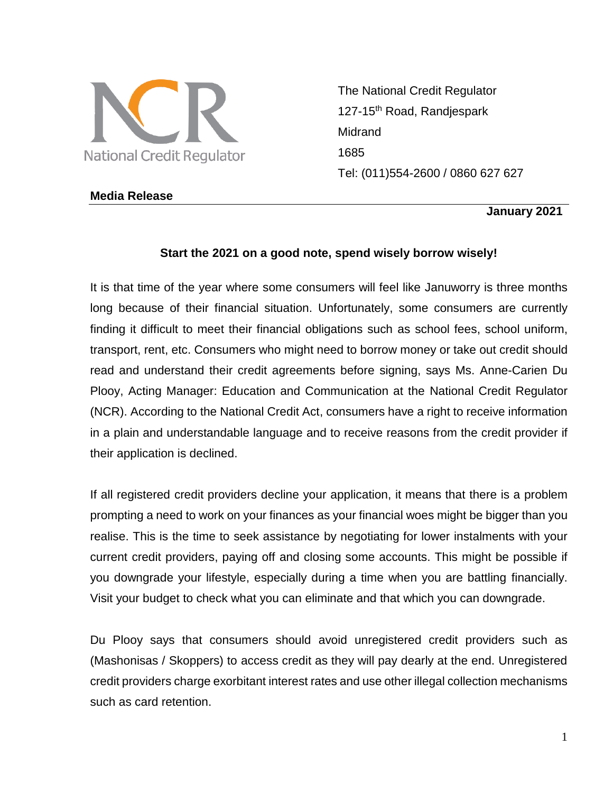

The National Credit Regulator 127-15<sup>th</sup> Road, Randjespark Midrand 1685 Tel: (011)554-2600 / 0860 627 627

## **Media Release**

**January 2021** 

## **Start the 2021 on a good note, spend wisely borrow wisely!**

It is that time of the year where some consumers will feel like Januworry is three months long because of their financial situation. Unfortunately, some consumers are currently finding it difficult to meet their financial obligations such as school fees, school uniform, transport, rent, etc. Consumers who might need to borrow money or take out credit should read and understand their credit agreements before signing, says Ms. Anne-Carien Du Plooy, Acting Manager: Education and Communication at the National Credit Regulator (NCR). According to the National Credit Act, consumers have a right to receive information in a plain and understandable language and to receive reasons from the credit provider if their application is declined.

If all registered credit providers decline your application, it means that there is a problem prompting a need to work on your finances as your financial woes might be bigger than you realise. This is the time to seek assistance by negotiating for lower instalments with your current credit providers, paying off and closing some accounts. This might be possible if you downgrade your lifestyle, especially during a time when you are battling financially. Visit your budget to check what you can eliminate and that which you can downgrade.

Du Plooy says that consumers should avoid unregistered credit providers such as (Mashonisas / Skoppers) to access credit as they will pay dearly at the end. Unregistered credit providers charge exorbitant interest rates and use other illegal collection mechanisms such as card retention.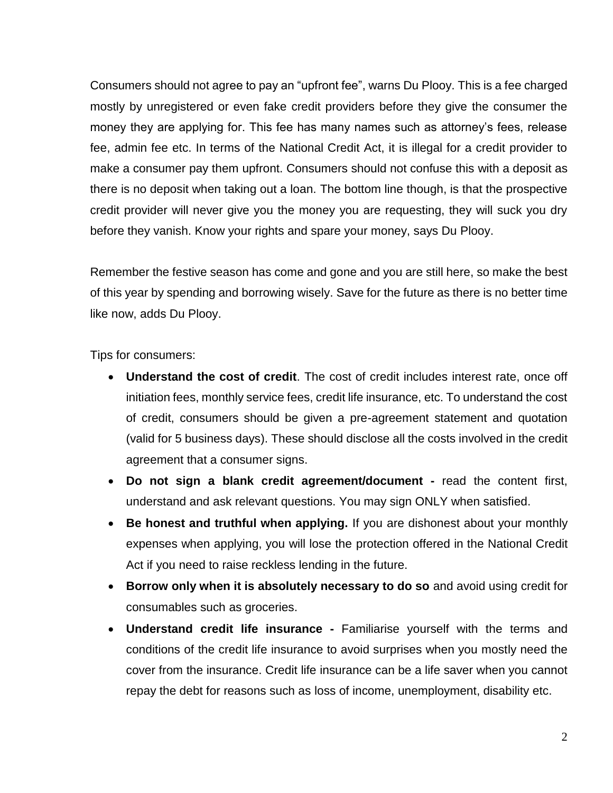Consumers should not agree to pay an "upfront fee", warns Du Plooy. This is a fee charged mostly by unregistered or even fake credit providers before they give the consumer the money they are applying for. This fee has many names such as attorney's fees, release fee, admin fee etc. In terms of the National Credit Act, it is illegal for a credit provider to make a consumer pay them upfront. Consumers should not confuse this with a deposit as there is no deposit when taking out a loan. The bottom line though, is that the prospective credit provider will never give you the money you are requesting, they will suck you dry before they vanish. Know your rights and spare your money, says Du Plooy.

Remember the festive season has come and gone and you are still here, so make the best of this year by spending and borrowing wisely. Save for the future as there is no better time like now, adds Du Plooy.

Tips for consumers:

- **Understand the cost of credit**. The cost of credit includes interest rate, once off initiation fees, monthly service fees, credit life insurance, etc. To understand the cost of credit, consumers should be given a pre-agreement statement and quotation (valid for 5 business days). These should disclose all the costs involved in the credit agreement that a consumer signs.
- **Do not sign a blank credit agreement/document -** read the content first, understand and ask relevant questions. You may sign ONLY when satisfied.
- **Be honest and truthful when applying.** If you are dishonest about your monthly expenses when applying, you will lose the protection offered in the National Credit Act if you need to raise reckless lending in the future.
- **Borrow only when it is absolutely necessary to do so** and avoid using credit for consumables such as groceries.
- **Understand credit life insurance -** Familiarise yourself with the terms and conditions of the credit life insurance to avoid surprises when you mostly need the cover from the insurance. Credit life insurance can be a life saver when you cannot repay the debt for reasons such as loss of income, unemployment, disability etc.